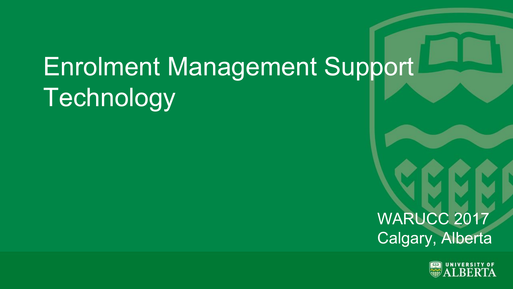# Enrolment Management Support Technology

WARUCC 2017 Calgary, Alberta

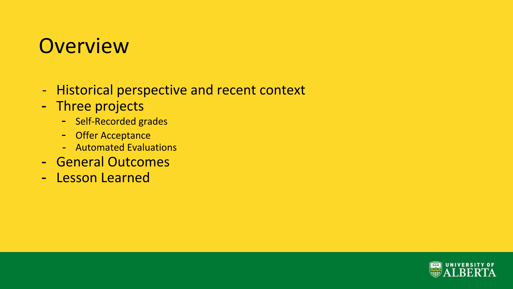#### **Overview**

- Historical perspective and recent context
- Three projects
	- Self-Recorded grades
	- Offer Acceptance
	- Automated Evaluations
- General Outcomes
- Lesson Learned

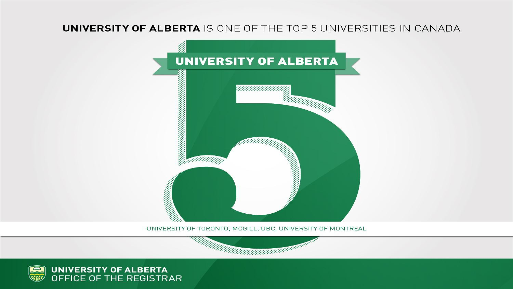#### **UNIVERSITY OF ALBERTA IS ONE OF THE TOP 5 UNIVERSITIES IN CANADA**



UNIVERSITY OF TORONTO, MCGILL, UBC, UNIVERSITY OF MONTREAL



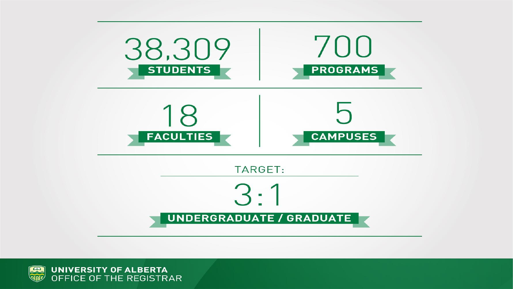

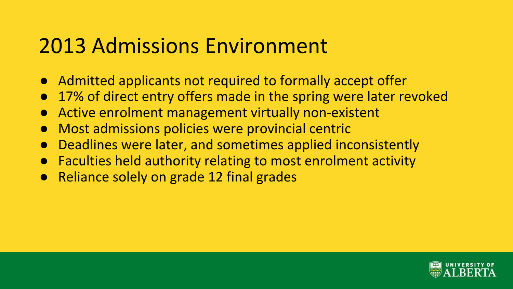#### 2013 Admissions Environment

- Admitted applicants not required to formally accept offer
- 17% of direct entry offers made in the spring were later revoked
- Active enrolment management virtually non-existent
- Most admissions policies were provincial centric
- Deadlines were later, and sometimes applied inconsistently
- Faculties held authority relating to most enrolment activity
- Reliance solely on grade 12 final grades

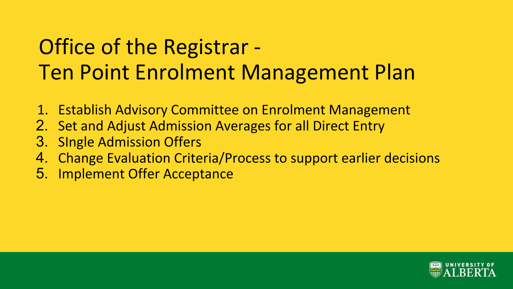# Office of the Registrar - Ten Point Enrolment Management Plan

- 1. Establish Advisory Committee on Enrolment Management
- 2. Set and Adjust Admission Averages for all Direct Entry
- 3. SIngle Admission Offers
- 4. Change Evaluation Criteria/Process to support earlier decisions
- 5. Implement Offer Acceptance

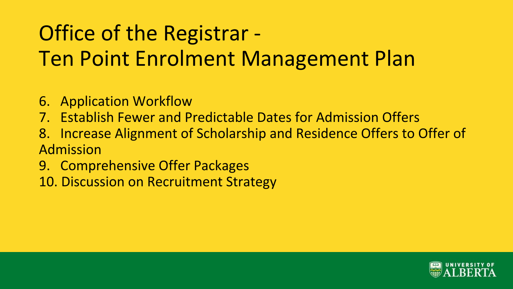# Office of the Registrar - Ten Point Enrolment Management Plan

- 6. Application Workflow
- 7. Establish Fewer and Predictable Dates for Admission Offers
- 8. Increase Alignment of Scholarship and Residence Offers to Offer of Admission
- 9. Comprehensive Offer Packages
- 10. Discussion on Recruitment Strategy

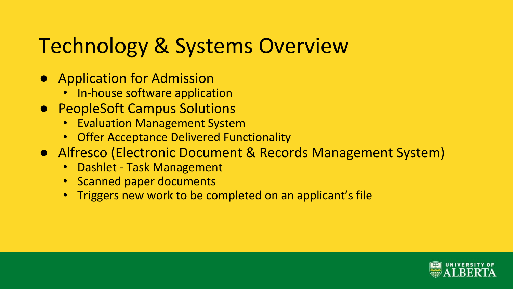# Technology & Systems Overview

- Application for Admission
	- In-house software application
- PeopleSoft Campus Solutions
	- Evaluation Management System
	- Offer Acceptance Delivered Functionality
- Alfresco (Electronic Document & Records Management System)
	- Dashlet Task Management
	- Scanned paper documents
	- Triggers new work to be completed on an applicant's file

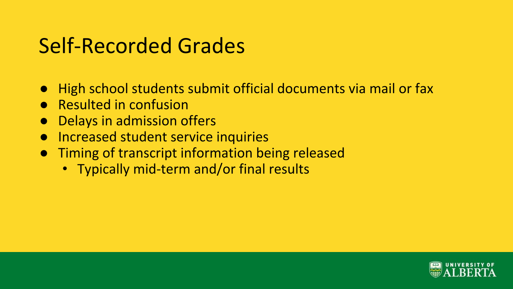# Self-Recorded Grades

- High school students submit official documents via mail or fax
- **Resulted in confusion**
- **Delays in admission offers**
- Increased student service inquiries
- Timing of transcript information being released
	- Typically mid-term and/or final results

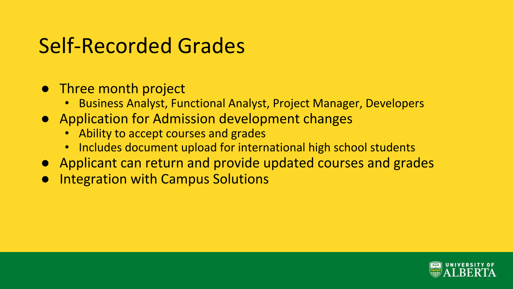# Self-Recorded Grades

- Three month project
	- Business Analyst, Functional Analyst, Project Manager, Developers
- Application for Admission development changes
	- Ability to accept courses and grades
	- Includes document upload for international high school students
- Applicant can return and provide updated courses and grades
- **Integration with Campus Solutions**

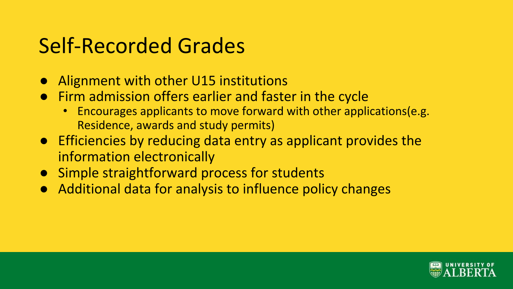# Self-Recorded Grades

- Alignment with other U15 institutions
- Firm admission offers earlier and faster in the cycle
	- Encourages applicants to move forward with other applications(e.g. Residence, awards and study permits)
- Efficiencies by reducing data entry as applicant provides the information electronically
- Simple straightforward process for students
- Additional data for analysis to influence policy changes

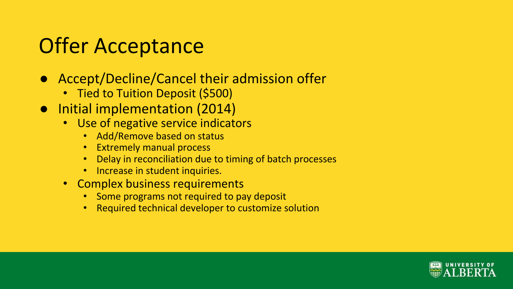# Offer Acceptance

- Accept/Decline/Cancel their admission offer
	- Tied to Tuition Deposit (\$500)
- Initial implementation (2014)
	- Use of negative service indicators
		- Add/Remove based on status
		- Extremely manual process
		- Delay in reconciliation due to timing of batch processes
		- Increase in student inquiries.
	- Complex business requirements
		- Some programs not required to pay deposit
		- Required technical developer to customize solution

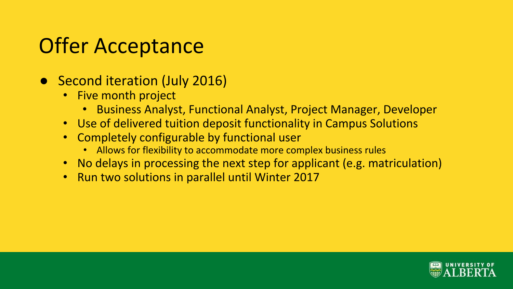# Offer Acceptance

- Second iteration (July 2016)
	- Five month project
		- Business Analyst, Functional Analyst, Project Manager, Developer
	- Use of delivered tuition deposit functionality in Campus Solutions
	- Completely configurable by functional user
		- Allows for flexibility to accommodate more complex business rules
	- No delays in processing the next step for applicant (e.g. matriculation)
	- Run two solutions in parallel until Winter 2017

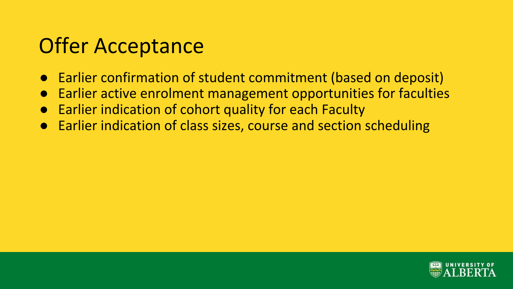# Offer Acceptance

- Earlier confirmation of student commitment (based on deposit)
- **Earlier active enrolment management opportunities for faculties**
- **Earlier indication of cohort quality for each Faculty**
- Earlier indication of class sizes, course and section scheduling

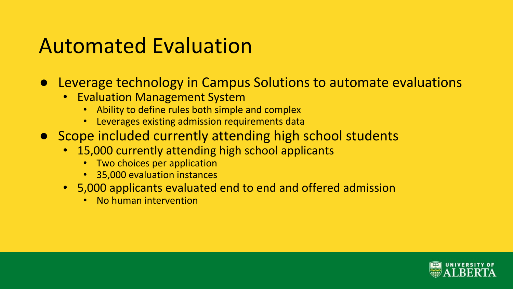# Automated Evaluation

- Leverage technology in Campus Solutions to automate evaluations
	- Evaluation Management System
		- Ability to define rules both simple and complex
		- Leverages existing admission requirements data
- Scope included currently attending high school students
	- 15,000 currently attending high school applicants
		- Two choices per application
		- 35,000 evaluation instances
	- 5,000 applicants evaluated end to end and offered admission
		- No human intervention

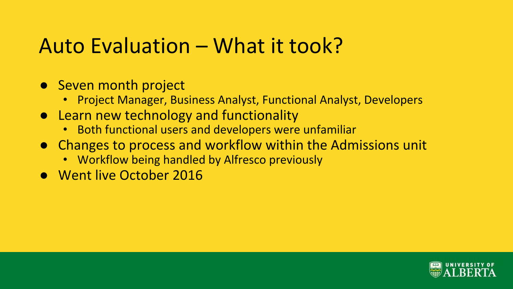#### Auto Evaluation – What it took?

- Seven month project
	- Project Manager, Business Analyst, Functional Analyst, Developers
- Learn new technology and functionality
	- Both functional users and developers were unfamiliar
- Changes to process and workflow within the Admissions unit
	- Workflow being handled by Alfresco previously
- Went live October 2016

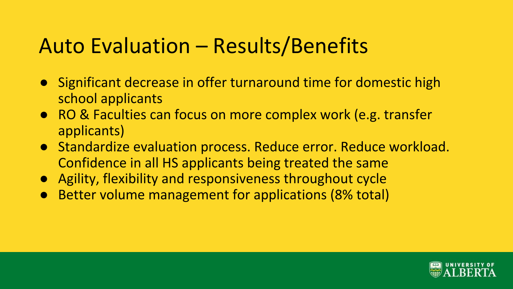# Auto Evaluation – Results/Benefits

- Significant decrease in offer turnaround time for domestic high school applicants
- RO & Faculties can focus on more complex work (e.g. transfer applicants)
- Standardize evaluation process. Reduce error. Reduce workload. Confidence in all HS applicants being treated the same
- Agility, flexibility and responsiveness throughout cycle
- Better volume management for applications (8% total)

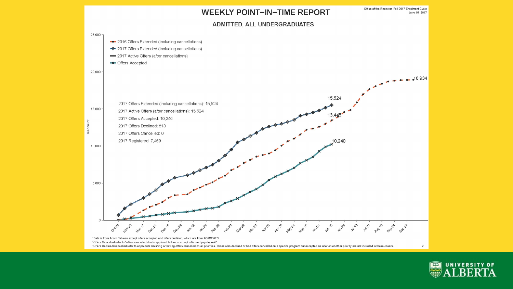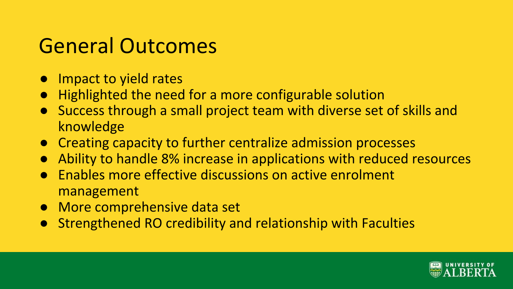### General Outcomes

- Impact to yield rates
- Highlighted the need for a more configurable solution
- Success through a small project team with diverse set of skills and knowledge
- Creating capacity to further centralize admission processes
- Ability to handle 8% increase in applications with reduced resources
- Enables more effective discussions on active enrolment management
- More comprehensive data set
- **Strengthened RO credibility and relationship with Faculties**

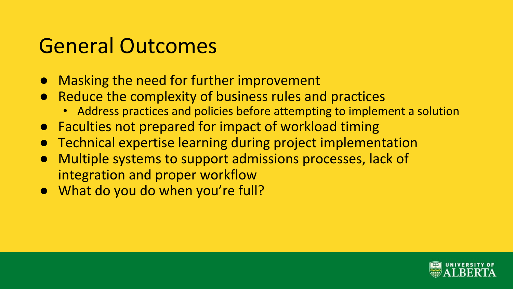# General Outcomes

- **Masking the need for further improvement**
- Reduce the complexity of business rules and practices
	- Address practices and policies before attempting to implement a solution
- Faculties not prepared for impact of workload timing
- Technical expertise learning during project implementation
- Multiple systems to support admissions processes, lack of integration and proper workflow
- What do you do when you're full?